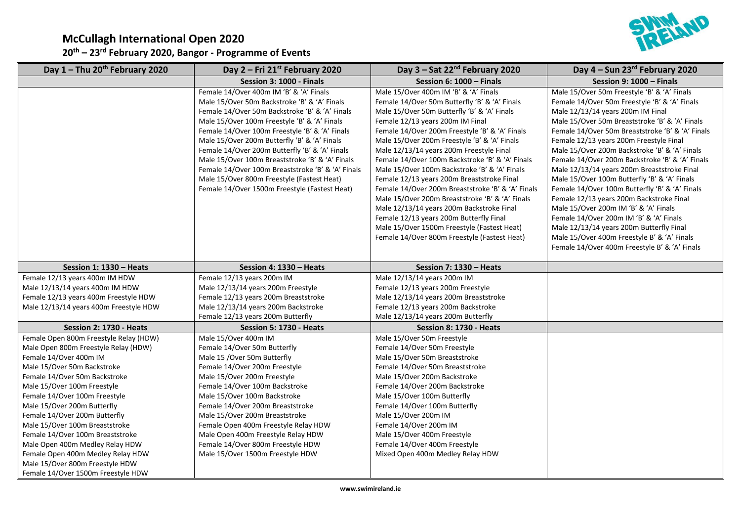## **McCullagh International Open 2020 20th – 23rd February 2020, Bangor - Programme of Events**



| Day $1 -$ Thu $20th$ February 2020     | Day $2 - Fri 21st February 2020$                  | Day 3 - Sat 22 <sup>nd</sup> February 2020        | Day 4 - Sun 23rd February 2020                   |
|----------------------------------------|---------------------------------------------------|---------------------------------------------------|--------------------------------------------------|
|                                        | Session 3: 1000 - Finals                          | Session 6: 1000 - Finals                          | Session 9: 1000 - Finals                         |
|                                        | Female 14/Over 400m IM 'B' & 'A' Finals           | Male 15/Over 400m IM 'B' & 'A' Finals             | Male 15/Over 50m Freestyle 'B' & 'A' Finals      |
|                                        | Male 15/Over 50m Backstroke 'B' & 'A' Finals      | Female 14/Over 50m Butterfly 'B' & 'A' Finals     | Female 14/Over 50m Freestyle 'B' & 'A' Finals    |
|                                        | Female 14/Over 50m Backstroke 'B' & 'A' Finals    | Male 15/Over 50m Butterfly 'B' & 'A' Finals       | Male 12/13/14 years 200m IM Final                |
|                                        | Male 15/Over 100m Freestyle 'B' & 'A' Finals      | Female 12/13 years 200m IM Final                  | Male 15/Over 50m Breaststroke 'B' & 'A' Finals   |
|                                        | Female 14/Over 100m Freestyle 'B' & 'A' Finals    | Female 14/Over 200m Freestyle 'B' & 'A' Finals    | Female 14/Over 50m Breaststroke 'B' & 'A' Finals |
|                                        | Male 15/Over 200m Butterfly 'B' & 'A' Finals      | Male 15/Over 200m Freestyle 'B' & 'A' Finals      | Female 12/13 years 200m Freestyle Final          |
|                                        | Female 14/Over 200m Butterfly 'B' & 'A' Finals    | Male 12/13/14 years 200m Freestyle Final          | Male 15/Over 200m Backstroke 'B' & 'A' Finals    |
|                                        | Male 15/Over 100m Breaststroke 'B' & 'A' Finals   | Female 14/Over 100m Backstroke 'B' & 'A' Finals   | Female 14/Over 200m Backstroke 'B' & 'A' Finals  |
|                                        | Female 14/Over 100m Breaststroke 'B' & 'A' Finals | Male 15/Over 100m Backstroke 'B' & 'A' Finals     | Male 12/13/14 years 200m Breaststroke Final      |
|                                        | Male 15/Over 800m Freestyle (Fastest Heat)        | Female 12/13 years 200m Breaststroke Final        | Male 15/Over 100m Butterfly 'B' & 'A' Finals     |
|                                        | Female 14/Over 1500m Freestyle (Fastest Heat)     | Female 14/Over 200m Breaststroke 'B' & 'A' Finals | Female 14/Over 100m Butterfly 'B' & 'A' Finals   |
|                                        |                                                   | Male 15/Over 200m Breaststroke 'B' & 'A' Finals   | Female 12/13 years 200m Backstroke Final         |
|                                        |                                                   | Male 12/13/14 years 200m Backstroke Final         | Male 15/Over 200m IM 'B' & 'A' Finals            |
|                                        |                                                   | Female 12/13 years 200m Butterfly Final           | Female 14/Over 200m IM 'B' & 'A' Finals          |
|                                        |                                                   | Male 15/Over 1500m Freestyle (Fastest Heat)       | Male 12/13/14 years 200m Butterfly Final         |
|                                        |                                                   | Female 14/Over 800m Freestyle (Fastest Heat)      | Male 15/Over 400m Freestyle B' & 'A' Finals      |
|                                        |                                                   |                                                   | Female 14/Over 400m Freestyle B' & 'A' Finals    |
| Session 1: 1330 - Heats                | Session 4: 1330 - Heats                           | Session 7: 1330 - Heats                           |                                                  |
| Female 12/13 years 400m IM HDW         | Female 12/13 years 200m IM                        | Male 12/13/14 years 200m IM                       |                                                  |
| Male 12/13/14 years 400m IM HDW        | Male 12/13/14 years 200m Freestyle                | Female 12/13 years 200m Freestyle                 |                                                  |
| Female 12/13 years 400m Freestyle HDW  | Female 12/13 years 200m Breaststroke              | Male 12/13/14 years 200m Breaststroke             |                                                  |
| Male 12/13/14 years 400m Freestyle HDW | Male 12/13/14 years 200m Backstroke               | Female 12/13 years 200m Backstroke                |                                                  |
|                                        | Female 12/13 years 200m Butterfly                 | Male 12/13/14 years 200m Butterfly                |                                                  |
| Session 2: 1730 - Heats                | Session 5: 1730 - Heats                           | Session 8: 1730 - Heats                           |                                                  |
| Female Open 800m Freestyle Relay (HDW) | Male 15/Over 400m IM                              | Male 15/Over 50m Freestyle                        |                                                  |
| Male Open 800m Freestyle Relay (HDW)   | Female 14/Over 50m Butterfly                      | Female 14/Over 50m Freestyle                      |                                                  |
| Female 14/Over 400m IM                 | Male 15 / Over 50m Butterfly                      | Male 15/Over 50m Breaststroke                     |                                                  |
| Male 15/Over 50m Backstroke            | Female 14/Over 200m Freestyle                     | Female 14/Over 50m Breaststroke                   |                                                  |
| Female 14/Over 50m Backstroke          | Male 15/Over 200m Freestyle                       | Male 15/Over 200m Backstroke                      |                                                  |
| Male 15/Over 100m Freestyle            | Female 14/Over 100m Backstroke                    | Female 14/Over 200m Backstroke                    |                                                  |
| Female 14/Over 100m Freestyle          | Male 15/Over 100m Backstroke                      | Male 15/Over 100m Butterfly                       |                                                  |
| Male 15/Over 200m Butterfly            | Female 14/Over 200m Breaststroke                  | Female 14/Over 100m Butterfly                     |                                                  |
| Female 14/Over 200m Butterfly          | Male 15/Over 200m Breaststroke                    | Male 15/Over 200m IM                              |                                                  |
| Male 15/Over 100m Breaststroke         | Female Open 400m Freestyle Relay HDW              | Female 14/Over 200m IM                            |                                                  |
| Female 14/Over 100m Breaststroke       | Male Open 400m Freestyle Relay HDW                | Male 15/Over 400m Freestyle                       |                                                  |
| Male Open 400m Medley Relay HDW        | Female 14/Over 800m Freestyle HDW                 | Female 14/Over 400m Freestyle                     |                                                  |
| Female Open 400m Medley Relay HDW      | Male 15/Over 1500m Freestyle HDW                  | Mixed Open 400m Medley Relay HDW                  |                                                  |
| Male 15/Over 800m Freestyle HDW        |                                                   |                                                   |                                                  |
| Female 14/Over 1500m Freestyle HDW     |                                                   |                                                   |                                                  |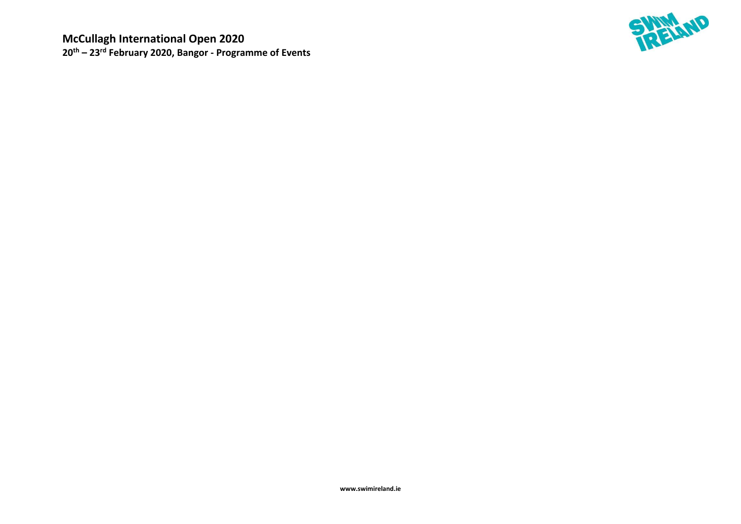**McCullagh International Open 2020 20th – 23rd February 2020, Bangor - Programme of Events**

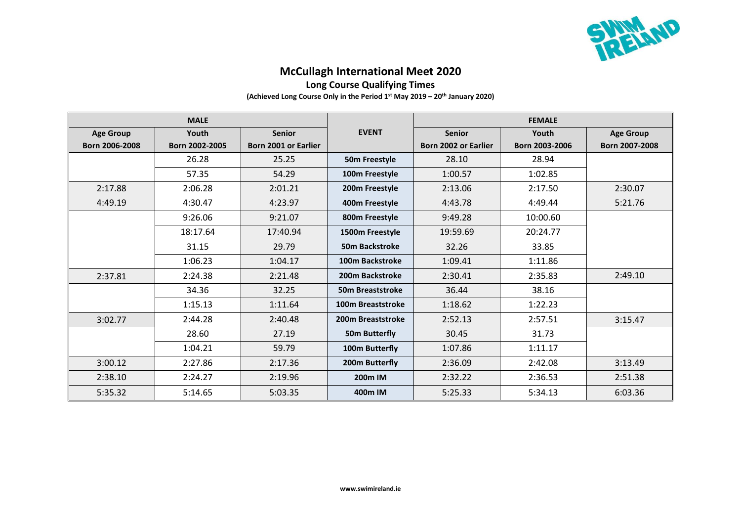

## **McCullagh International Meet 2020**

**Long Course Qualifying Times**

**(Achieved Long Course Only in the Period 1st May 2019 – 20th January 2020)**

| <b>MALE</b>      |                |                             | <b>FEMALE</b>         |                             |                |                  |
|------------------|----------------|-----------------------------|-----------------------|-----------------------------|----------------|------------------|
| <b>Age Group</b> | Youth          | <b>Senior</b>               | <b>EVENT</b>          | <b>Senior</b>               | Youth          | <b>Age Group</b> |
| Born 2006-2008   | Born 2002-2005 | <b>Born 2001 or Earlier</b> |                       | <b>Born 2002 or Earlier</b> | Born 2003-2006 | Born 2007-2008   |
|                  | 26.28          | 25.25                       | 50m Freestyle         | 28.10                       | 28.94          |                  |
|                  | 57.35          | 54.29                       | 100m Freestyle        | 1:00.57                     | 1:02.85        |                  |
| 2:17.88          | 2:06.28        | 2:01.21                     | 200m Freestyle        | 2:13.06                     | 2:17.50        | 2:30.07          |
| 4:49.19          | 4:30.47        | 4:23.97                     | 400m Freestyle        | 4:43.78                     | 4:49.44        | 5:21.76          |
|                  | 9:26.06        | 9:21.07                     | 800m Freestyle        | 9:49.28                     | 10:00.60       |                  |
|                  | 18:17.64       | 17:40.94                    | 1500m Freestyle       | 19:59.69                    | 20:24.77       |                  |
|                  | 31.15          | 29.79                       | <b>50m Backstroke</b> | 32.26                       | 33.85          |                  |
|                  | 1:06.23        | 1:04.17                     | 100m Backstroke       | 1:09.41                     | 1:11.86        |                  |
| 2:37.81          | 2:24.38        | 2:21.48                     | 200m Backstroke       | 2:30.41                     | 2:35.83        | 2:49.10          |
|                  | 34.36          | 32.25                       | 50m Breaststroke      | 36.44                       | 38.16          |                  |
|                  | 1:15.13        | 1:11.64                     | 100m Breaststroke     | 1:18.62                     | 1:22.23        |                  |
| 3:02.77          | 2:44.28        | 2:40.48                     | 200m Breaststroke     | 2:52.13                     | 2:57.51        | 3:15.47          |
|                  | 28.60          | 27.19                       | 50m Butterfly         | 30.45                       | 31.73          |                  |
|                  | 1:04.21        | 59.79                       | 100m Butterfly        | 1:07.86                     | 1:11.17        |                  |
| 3:00.12          | 2:27.86        | 2:17.36                     | 200m Butterfly        | 2:36.09                     | 2:42.08        | 3:13.49          |
| 2:38.10          | 2:24.27        | 2:19.96                     | 200 <sub>m</sub> IM   | 2:32.22                     | 2:36.53        | 2:51.38          |
| 5:35.32          | 5:14.65        | 5:03.35                     | 400m IM               | 5:25.33                     | 5:34.13        | 6:03.36          |